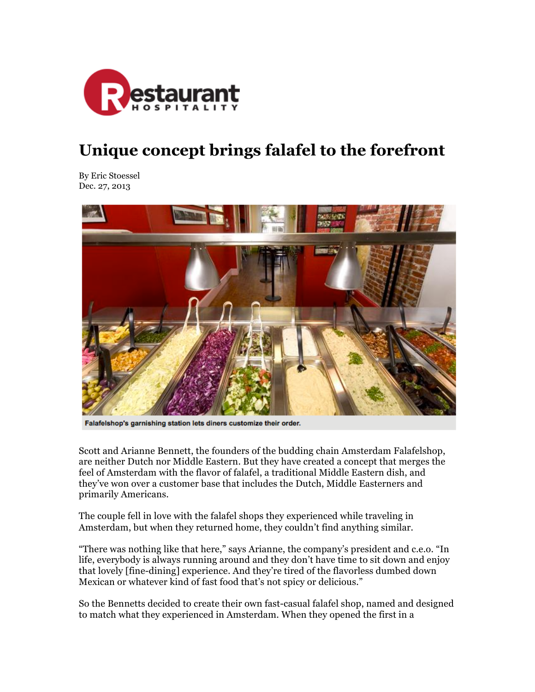

## **Unique concept brings falafel to the forefront**

By Eric Stoessel Dec. 27, 2013



Falafelshop's garnishing station lets diners customize their order.

Scott and Arianne Bennett, the founders of the budding chain Amsterdam Falafelshop, are neither Dutch nor Middle Eastern. But they have created a concept that merges the feel of Amsterdam with the flavor of falafel, a traditional Middle Eastern dish, and they've won over a customer base that includes the Dutch, Middle Easterners and primarily Americans.

The couple fell in love with the falafel shops they experienced while traveling in Amsterdam, but when they returned home, they couldn't find anything similar.

"There was nothing like that here," says Arianne, the company's president and c.e.o. "In life, everybody is always running around and they don't have time to sit down and enjoy that lovely [fine-dining] experience. And they're tired of the flavorless dumbed down Mexican or whatever kind of fast food that's not spicy or delicious."

So the Bennetts decided to create their own fast-casual falafel shop, named and designed to match what they experienced in Amsterdam. When they opened the first in a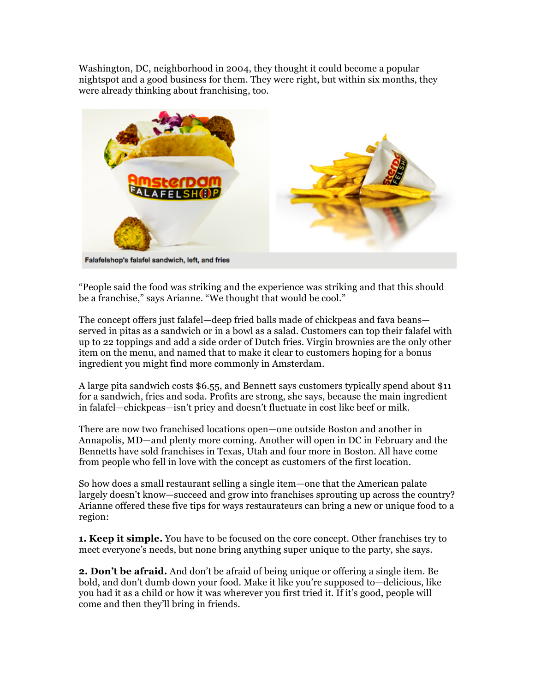Washington, DC, neighborhood in 2004, they thought it could become a popular nightspot and a good business for them. They were right, but within six months, they were already thinking about franchising, too.



"People said the food was striking and the experience was striking and that this should be a franchise," says Arianne. "We thought that would be cool."

The concept offers just falafel—deep fried balls made of chickpeas and fava beans served in pitas as a sandwich or in a bowl as a salad. Customers can top their falafel with up to 22 toppings and add a side order of Dutch fries. Virgin brownies are the only other item on the menu, and named that to make it clear to customers hoping for a bonus ingredient you might find more commonly in Amsterdam.

A large pita sandwich costs \$6.55, and Bennett says customers typically spend about \$11 for a sandwich, fries and soda. Profits are strong, she says, because the main ingredient in falafel—chickpeas—isn't pricy and doesn't fluctuate in cost like beef or milk.

There are now two franchised locations open—one outside Boston and another in Annapolis, MD—and plenty more coming. Another will open in DC in February and the Bennetts have sold franchises in Texas, Utah and four more in Boston. All have come from people who fell in love with the concept as customers of the first location.

So how does a small restaurant selling a single item—one that the American palate largely doesn't know—succeed and grow into franchises sprouting up across the country? Arianne offered these five tips for ways restaurateurs can bring a new or unique food to a region:

**1. Keep it simple.** You have to be focused on the core concept. Other franchises try to meet everyone's needs, but none bring anything super unique to the party, she says.

**2. Don't be afraid.** And don't be afraid of being unique or offering a single item. Be bold, and don't dumb down your food. Make it like you're supposed to—delicious, like you had it as a child or how it was wherever you first tried it. If it's good, people will come and then they'll bring in friends.